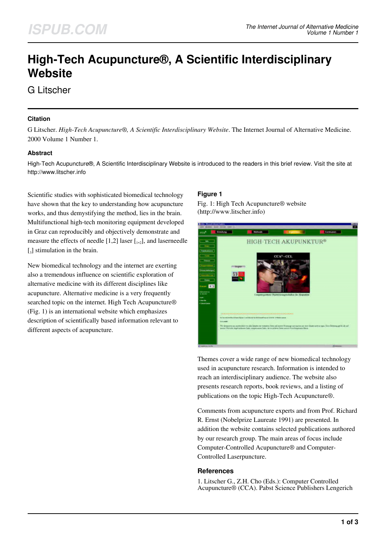# **High-Tech Acupuncture®, A Scientific Interdisciplinary Website**

G Litscher

### **Citation**

G Litscher. *High-Tech Acupuncture®, A Scientific Interdisciplinary Website*. The Internet Journal of Alternative Medicine. 2000 Volume 1 Number 1.

### **Abstract**

High-Tech Acupuncture®, A Scientific Interdisciplinary Website is introduced to the readers in this brief review. Visit the site at http://www.litscher.info

Scientific studies with sophisticated biomedical technology have shown that the key to understanding how acupuncture works, and thus demystifying the method, lies in the brain. Multifunctional high-tech monitoring equipment developed in Graz can reproducibly and objectively demonstrate and measure the effects of needle  $[1,2]$  laser  $[1,2]$ , and laserneedle  $\left[\begin{smallmatrix}3\end{smallmatrix}\right]$  stimulation in the brain.

New biomedical technology and the internet are exerting also a tremendous influence on scientific exploration of alternative medicine with its different disciplines like acupuncture. Alternative medicine is a very frequently searched topic on the internet. High Tech Acupuncture® (Fig. 1) is an international website which emphasizes description of scientifically based information relevant to different aspects of acupuncture.

### **Figure 1**

Fig. 1: High Tech Acupuncture® website (http://www.litscher.info)

| teller. Wessell informé Lepisre.                                                                                                                                                                                         | in their favor first 1 |                                                                                           |                                                                                           |                                                                                                                                                                                                                        |
|--------------------------------------------------------------------------------------------------------------------------------------------------------------------------------------------------------------------------|------------------------|-------------------------------------------------------------------------------------------|-------------------------------------------------------------------------------------------|------------------------------------------------------------------------------------------------------------------------------------------------------------------------------------------------------------------------|
| <b>CEA</b>                                                                                                                                                                                                               | <b>Sinkhung</b>        | Mathinity                                                                                 | <b>College College</b>                                                                    | <b>Haraturun</b>                                                                                                                                                                                                       |
| <b>John</b><br><b>House</b><br><b>Fabilitations</b><br><b>Service</b><br><b>Truppe</b><br><b>Helian</b><br><b>Home</b><br>$\overline{1}$<br><b>Lacence</b><br>-------<br>a salmo<br>-<br><b>Chevrolet</b><br>1 Sand Spin |                        |                                                                                           | HIGH-TECH AKUPUNKTUR®<br>$CCA*-CCL$<br>Computerycottes Chydroveroperatedras for Aleportas |                                                                                                                                                                                                                        |
|                                                                                                                                                                                                                          |                        | to the work this of less flates I will do as its billionalists on the COTS. This is used. |                                                                                           | Ve anancous surmité en declaste re vouse. Sou sé ouvrir Enquy sot autres se ser liste un ta syn l'emblance prin de ef<br>sous Veters égénéees lais aspronnellate, le staden fous servi Environnais liste.<br>$^{16} -$ |

Themes cover a wide range of new biomedical technology used in acupuncture research. Information is intended to reach an interdisciplinary audience. The website also presents research reports, book reviews, and a listing of publications on the topic High-Tech Acupuncture®.

Comments from acupuncture experts and from Prof. Richard R. Ernst (Nobelprize Laureate 1991) are presented. In addition the website contains selected publications authored by our research group. The main areas of focus include Computer-Controlled Acupuncture® and Computer-Controlled Laserpuncture.

#### **References**

1. Litscher G., Z.H. Cho (Eds.): Computer Controlled Acupuncture® (CCA). Pabst Science Publishers Lengerich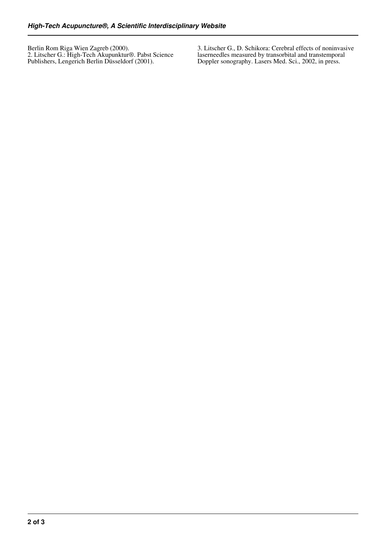Berlin Rom Riga Wien Zagreb (2000). 2. Litscher G.: High-Tech Akupunktur®. Pabst Science Publishers, Lengerich Berlin Düsseldorf (2001).

3. Litscher G., D. Schikora: Cerebral effects of noninvasive laserneedles measured by transorbital and transtemporal Doppler sonography. Lasers Med. Sci., 2002, in press.